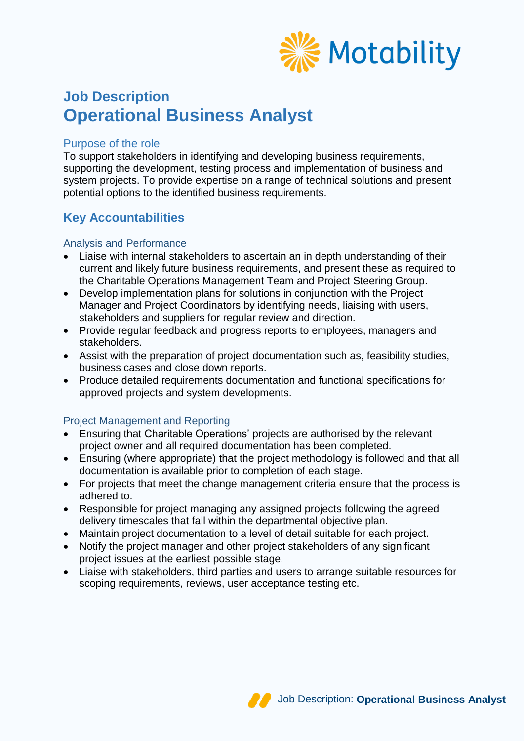

# **Job Description Operational Business Analyst**

### Purpose of the role

To support stakeholders in identifying and developing business requirements, supporting the development, testing process and implementation of business and system projects. To provide expertise on a range of technical solutions and present potential options to the identified business requirements.

### **Key Accountabilities**

### Analysis and Performance

- Liaise with internal stakeholders to ascertain an in depth understanding of their current and likely future business requirements, and present these as required to the Charitable Operations Management Team and Project Steering Group.
- Develop implementation plans for solutions in conjunction with the Project Manager and Project Coordinators by identifying needs, liaising with users, stakeholders and suppliers for regular review and direction.
- Provide regular feedback and progress reports to employees, managers and stakeholders.
- Assist with the preparation of project documentation such as, feasibility studies, business cases and close down reports.
- Produce detailed requirements documentation and functional specifications for approved projects and system developments.

### Project Management and Reporting

- Ensuring that Charitable Operations' projects are authorised by the relevant project owner and all required documentation has been completed.
- Ensuring (where appropriate) that the project methodology is followed and that all documentation is available prior to completion of each stage.
- For projects that meet the change management criteria ensure that the process is adhered to.
- Responsible for project managing any assigned projects following the agreed delivery timescales that fall within the departmental objective plan.
- Maintain project documentation to a level of detail suitable for each project.
- Notify the project manager and other project stakeholders of any significant project issues at the earliest possible stage.
- Liaise with stakeholders, third parties and users to arrange suitable resources for scoping requirements, reviews, user acceptance testing etc.

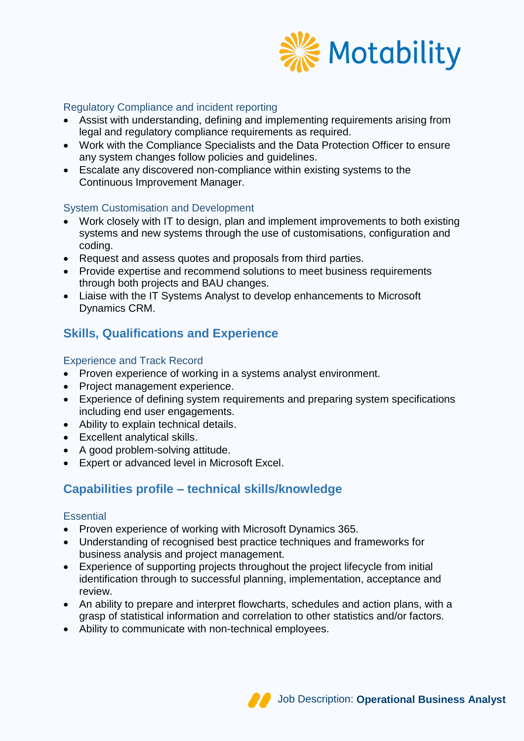

### Regulatory Compliance and incident reporting

- Assist with understanding, defining and implementing requirements arising from legal and regulatory compliance requirements as required.
- Work with the Compliance Specialists and the Data Protection Officer to ensure any system changes follow policies and guidelines.
- Escalate any discovered non-compliance within existing systems to the Continuous Improvement Manager.

### System Customisation and Development

- Work closely with IT to design, plan and implement improvements to both existing systems and new systems through the use of customisations, configuration and coding.
- Request and assess quotes and proposals from third parties.
- Provide expertise and recommend solutions to meet business requirements through both projects and BAU changes.
- Liaise with the IT Systems Analyst to develop enhancements to Microsoft Dynamics CRM.

# **Skills, Qualifications and Experience**

### Experience and Track Record

- Proven experience of working in a systems analyst environment.
- Project management experience.
- Experience of defining system requirements and preparing system specifications including end user engagements.
- Ability to explain technical details.
- Excellent analytical skills.
- A good problem-solving attitude.
- Expert or advanced level in Microsoft Excel.

# **Capabilities profile – technical skills/knowledge**

### **Essential**

- Proven experience of working with Microsoft Dynamics 365.
- Understanding of recognised best practice techniques and frameworks for business analysis and project management.
- Experience of supporting projects throughout the project lifecycle from initial identification through to successful planning, implementation, acceptance and review.
- An ability to prepare and interpret flowcharts, schedules and action plans, with a grasp of statistical information and correlation to other statistics and/or factors.
- Ability to communicate with non-technical employees.